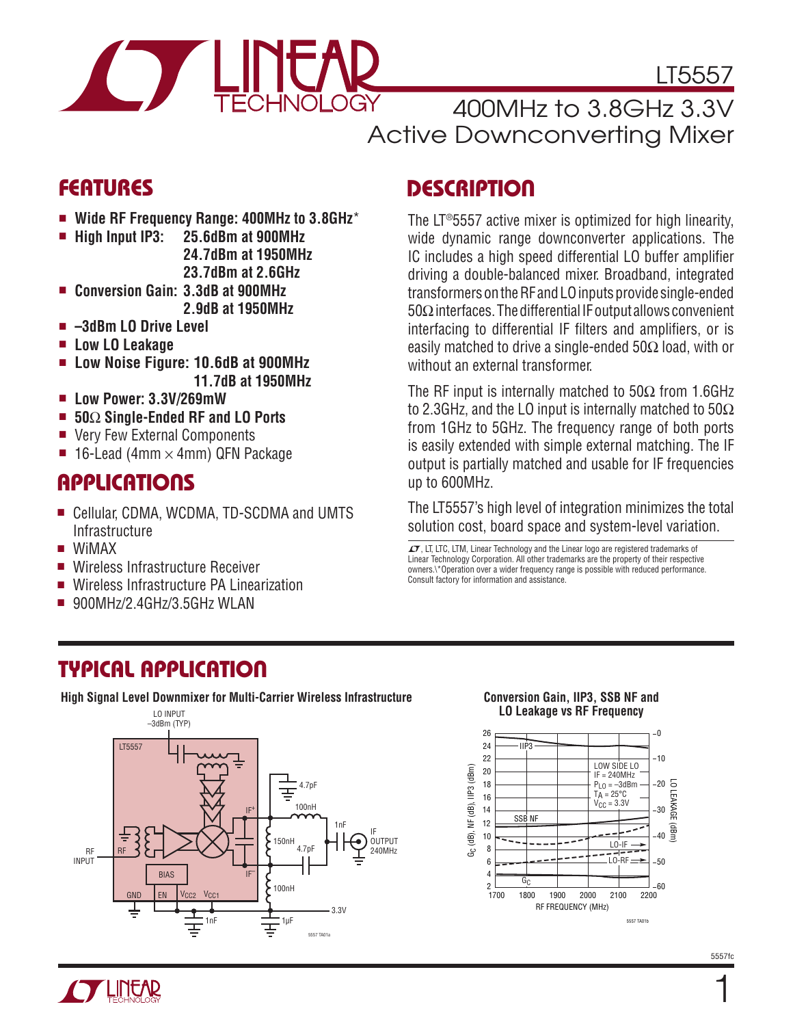

LT5557

400MHz to 3.8GHz 3.3V Active Downconverting Mixer

#### Features

- <sup>n</sup> **Wide RF Frequency Range: 400MHz to 3.8GHz**\*
- <sup>n</sup> **High Input IP3: 25.6dBm at 900MHz 24.7dBm at 1950MHz 23.7dBm at 2.6GHz**
- <sup>n</sup> **Conversion Gain: 3.3dB at 900MHz 2.9dB at 1950MHz**
- <sup>n</sup> **–3dBm LO Drive Level**
- Low LO Leakage
- <sup>n</sup> **Low Noise Figure: 10.6dB at 900MHz 11.7dB at 1950MHz**
- <sup>n</sup> **Low Power: 3.3V/269mW**
- <sup>n</sup> **50**Ω **Single-Ended RF and LO Ports**
- Very Few External Components
- **n** 16-Lead (4mm  $\times$  4mm) QFN Package

#### **APPLICATIONS**

- Cellular, CDMA, WCDMA, TD-SCDMA and UMTS **Infrastructure**
- **N** WiMAX
- Wireless Infrastructure Receiver
- <sup>n</sup> Wireless Infrastructure PA Linearization
- $\blacksquare$  900MHz/2.4GHz/3.5GHz WLAN

### Typical Application

**High Signal Level Downmixer for Multi-Carrier Wireless Infrastructure**



### **DESCRIPTION**

The LT®5557 active mixer is optimized for high linearity, wide dynamic range downconverter applications. The IC includes a high speed differential LO buffer amplifier driving a double-balanced mixer. Broadband, integrated transformers on the RF and LO inputs provide single-ended 50Ω interfaces. The differential IF output allows convenient interfacing to differential IF filters and amplifiers, or is easily matched to drive a single-ended 50Ω load, with or without an external transformer.

The RF input is internally matched to  $50\Omega$  from 1.6GHz to 2.3GHz, and the LO input is internally matched to 50Ω from 1GHz to 5GHz. The frequency range of both ports is easily extended with simple external matching. The IF output is partially matched and usable for IF frequencies up to 600MHz.

The LT5557's high level of integration minimizes the total solution cost, board space and system-level variation.

 $\mathcal I$ , LT, LTC, LTM, Linear Technology and the Linear logo are registered trademarks of Linear Technology Corporation. All other trademarks are the property of their respective owners.\\*Operation over a wider frequency range is possible with reduced performance. Consult factory for information and assistance.



#### **Conversion Gain, IIP3, SSB NF and LO Leakage vs RF Frequency**

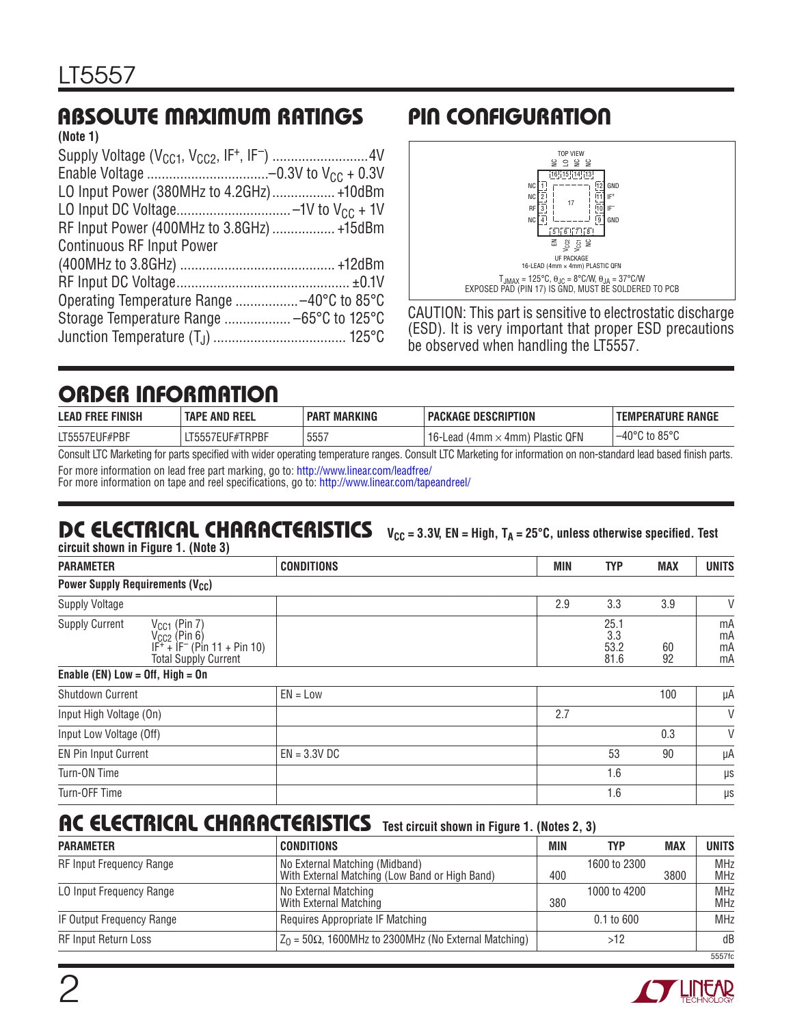### Absolute Maximum Ratings

| (Note 1)                                  |  |
|-------------------------------------------|--|
|                                           |  |
|                                           |  |
| LO Input Power (380MHz to 4.2GHz)  +10dBm |  |
|                                           |  |
| RF Input Power (400MHz to 3.8GHz)  +15dBm |  |
| <b>Continuous RF Input Power</b>          |  |
|                                           |  |
|                                           |  |
|                                           |  |
|                                           |  |
|                                           |  |
|                                           |  |

## Pin Configuration



CAUTION: This part is sensitive to electrostatic discharge (ESD). It is very important that proper ESD precautions be observed when handling the LT5557.

### Order Information

| <b>LEAD FREE FINISH</b>                                                                                                                                                                                                            | <b>TAPE AND REEL</b> | <b>MARKING</b><br><b>PART</b> | ' PACKAGE DESCRIPTION                    | <b>TEMPERATURE RANGE</b>   |  |
|------------------------------------------------------------------------------------------------------------------------------------------------------------------------------------------------------------------------------------|----------------------|-------------------------------|------------------------------------------|----------------------------|--|
| LT5557EUF#PBF                                                                                                                                                                                                                      | _T5557EUF#TRPBF      | 5557                          | ' 16-Lead (4mm $\times$ 4mm) Plastic QFN | ; to 85°C<br>$-40^{\circ}$ |  |
| $\bigwedge$ in the contract of the contract of the contract of the contract of the contract of the contract of the contract of the contract of the contract of the contract of the contract of the contract of the contract of the |                      |                               |                                          |                            |  |

Consult LTC Marketing for parts specified with wider operating temperature ranges. Consult LTC Marketing for information on non-standard lead based finish parts. For more information on lead free part marking, go to: http://www.linear.com/leadfree/

For more information on tape and reel specifications, go to: http://www.linear.com/tapeandreel/

#### DC Electrical Characteristics  $V_{CC} = 3.3V$ , EN = High, T<sub>A</sub> = 25 $^{\circ}$ C, unless otherwise specified. Test

**circuit shown in Figure 1. (Note 3)**

| <b>PARAMETER</b>      |                                                                                                                                   | <b>CONDITIONS</b> | <b>MIN</b> | <b>TYP</b>                  | <b>MAX</b> | <b>UNITS</b>         |
|-----------------------|-----------------------------------------------------------------------------------------------------------------------------------|-------------------|------------|-----------------------------|------------|----------------------|
|                       | <b>Power Supply Requirements (V<sub>CC</sub>)</b>                                                                                 |                   |            |                             |            |                      |
| <b>Supply Voltage</b> |                                                                                                                                   |                   | 2.9        | 3.3                         | 3.9        |                      |
| <b>Supply Current</b> | $V_{CG1}$ (Pin 7)<br>$V_{CC2}^{C2}$ (Pin 6)<br>IF <sup>+</sup> + IF <sup>-</sup> (Pin 11 + Pin 10)<br><b>Total Supply Current</b> |                   |            | 25.1<br>3.3<br>53.2<br>81.6 | 60<br>92   | mA<br>mA<br>mA<br>mA |

**Enable (EN) Low = Off, High = On**

| Shutdown Current            | $EN = Low$     |     | 100      | μA |
|-----------------------------|----------------|-----|----------|----|
| Input High Voltage (On)     |                | 2.7 |          |    |
| Input Low Voltage (Off)     |                |     | 0.3      |    |
| <b>EN Pin Input Current</b> | $EN = 3.3V$ DC |     | 90<br>53 | μA |
| Turn-ON Time                |                |     | 1.6      | μs |
| Turn-OFF Time               |                |     | 1.6      | μs |

## AC ELECTRICAL CHARACTERISTICS Test circuit shown in Figure 1. (Notes 2, 3)

| <b>PARAMETER</b>            | <b>CONDITIONS</b>                                                                | MIN | <b>TYP</b>   | <b>MAX</b> | <b>UNITS</b>             |
|-----------------------------|----------------------------------------------------------------------------------|-----|--------------|------------|--------------------------|
| RF Input Frequency Range    | No External Matching (Midband)<br>With External Matching (Low Band or High Band) | 400 | 1600 to 2300 | 3800       | <b>MHz</b><br><b>MHz</b> |
| LO Input Frequency Range    | No External Matching<br>With External Matching                                   | 380 | 1000 to 4200 |            | <b>MHz</b><br><b>MHz</b> |
| IF Output Frequency Range   | Requires Appropriate IF Matching                                                 |     | $0.1$ to 600 |            | <b>MHz</b>               |
| <b>RF Input Return Loss</b> | $Z_0$ = 50 $\Omega$ , 1600MHz to 2300MHz (No External Matching)                  |     | >12          |            | dB                       |
|                             |                                                                                  |     |              |            | 5557fc                   |

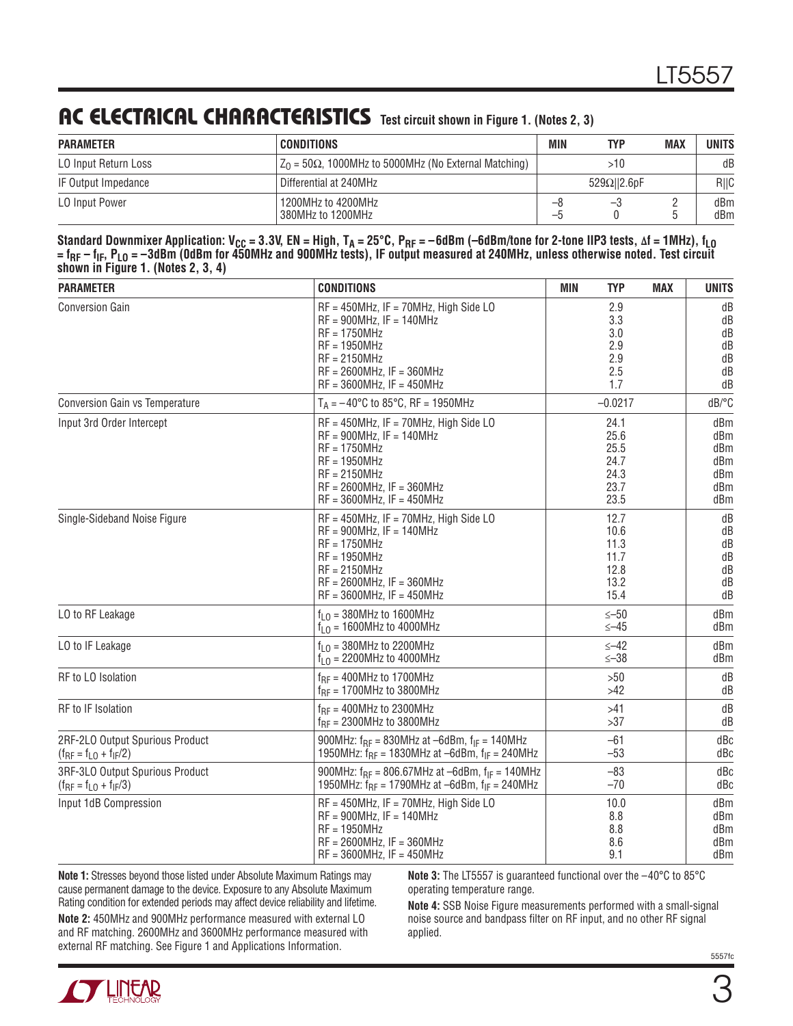#### AC **ELECTRICAL CHARACTERISTICS** Test circuit shown in Figure 1. (Notes 2, 3)

| <b>PARAMETER</b>            | CONDITIONS                                                      | MIN     | TYP                 | <b>MAX</b> | UNITS      |
|-----------------------------|-----------------------------------------------------------------|---------|---------------------|------------|------------|
| <b>LO Input Return Loss</b> | $Z_0$ = 50 $\Omega$ , 1000MHz to 5000MHz (No External Matching) |         | >10                 |            | dB         |
| IF Output Impedance         | Differential at 240MHz                                          |         | $529\Omega$   2.6pF |            | R  C       |
| <b>LO Input Power</b>       | 1200MHz to 4200MHz<br>S80MHz to 1200MHz!                        | ہ—<br>÷ | —5                  |            | dBm<br>dBm |

Standard Downmixer Application: V<sub>CC</sub> = 3.3V, EN = High, T<sub>A</sub> = 25°C, P<sub>RF</sub> = -6dBm (-6dBm/tone for 2-tone IIP3 tests, ∆f = 1MHz), f<sub>LO</sub> **= fRF – fIF, PLO = –3dBm (0dBm for 450MHz and 900MHz tests), IF output measured at 240MHz, unless otherwise noted. Test circuit shown in Figure 1. (Notes 2, 3, 4)**

| <b>PARAMETER</b>                                                  | <b>CONDITIONS</b>                                                                                                                                                                             | <b>MIN</b><br><b>TYP</b>                             | <b>MAX</b> | <b>UNITS</b>                                  |
|-------------------------------------------------------------------|-----------------------------------------------------------------------------------------------------------------------------------------------------------------------------------------------|------------------------------------------------------|------------|-----------------------------------------------|
| <b>Conversion Gain</b>                                            | $RF = 450MHz$ , IF = 70MHz, High Side LO<br>$RF = 900MHz$ . IF = 140MHz<br>$RF = 1750MHz$<br>$RF = 1950MHz$<br>$RF = 2150MHz$<br>$RF = 2600MHz$ , IF = 360MHz<br>$RF = 3600MHz$ , IF = 450MHz | 2.9<br>3.3<br>3.0<br>2.9<br>2.9<br>2.5<br>1.7        |            | dB<br>dB<br>dB<br>dB<br>dB<br>dB<br>dB        |
| Conversion Gain vs Temperature                                    | $T_A = -40^{\circ}C$ to 85 $^{\circ}C$ , RF = 1950MHz                                                                                                                                         | $-0.0217$                                            |            | dB/°C                                         |
| Input 3rd Order Intercept                                         | $RF = 450MHz$ , IF = 70MHz, High Side LO<br>$RF = 900MHz$ , IF = 140MHz<br>$RF = 1750MHz$<br>$RF = 1950MHz$<br>$RF = 2150MHz$<br>$RF = 2600MHz$ , IF = 360MHz<br>$RF = 3600MHz$ , IF = 450MHz | 24.1<br>25.6<br>25.5<br>24.7<br>24.3<br>23.7<br>23.5 |            | dBm<br>dBm<br>dBm<br>dBm<br>dBm<br>dBm<br>dBm |
| Single-Sideband Noise Figure                                      | $RF = 450MHz$ , IF = 70MHz, High Side LO<br>$RF = 900MHz$ , IF = 140MHz<br>$RF = 1750MHz$<br>$RF = 1950MHz$<br>$RF = 2150MHz$<br>$RF = 2600MHz$ , IF = 360MHz<br>$RF = 3600MHz$ , IF = 450MHz | 12.7<br>10.6<br>11.3<br>11.7<br>12.8<br>13.2<br>15.4 |            | dB<br>dB<br>dB<br>dB<br>dB<br>dB<br>dB        |
| LO to RF Leakage                                                  | $f10$ = 380MHz to 1600MHz<br>$f_{1,0} = 1600$ MHz to 4000MHz                                                                                                                                  | $\le -50$<br>$≤-45$                                  |            | dBm<br>dBm                                    |
| LO to IF Leakage                                                  | $f10$ = 380MHz to 2200MHz<br>$f_{10} = 2200$ MHz to 4000MHz                                                                                                                                   | $\leq -42$<br>$≤-38$                                 |            | dBm<br>dBm                                    |
| RF to LO Isolation                                                | $f_{RF}$ = 400MHz to 1700MHz<br>$f_{RF}$ = 1700MHz to 3800MHz                                                                                                                                 | $>50$<br>$>42$                                       |            | dB<br>dB                                      |
| RF to IF Isolation                                                | $f_{BF}$ = 400MHz to 2300MHz<br>$f_{RF}$ = 2300MHz to 3800MHz                                                                                                                                 | >41<br>>37                                           |            | dB<br>dB                                      |
| 2RF-2LO Output Spurious Product<br>$(f_{RF} = f_{L0} + f_{IF}/2)$ | 900MHz: $f_{RF} = 830$ MHz at $-6$ dBm, $f_{IF} = 140$ MHz<br>1950MHz: $f_{BF} = 1830$ MHz at $-6$ dBm, $f_{IF} = 240$ MHz                                                                    | $-61$<br>$-53$                                       |            | dBc<br>dBc                                    |
| 3RF-3LO Output Spurious Product<br>$(f_{RF} = f_{LO} + f_{IF}/3)$ | 900MHz: $f_{RF}$ = 806.67MHz at -6dBm, $f_{IF}$ = 140MHz<br>1950MHz: $f_{RF}$ = 1790MHz at -6dBm, $f_{IF}$ = 240MHz                                                                           | $-83$<br>$-70$                                       |            | dBc<br>dBc                                    |
| Input 1dB Compression                                             | $RF = 450MHz$ , IF = 70MHz, High Side LO<br>$RF = 900MHz$ , IF = 140MHz<br>$RF = 1950MHz$<br>$RF = 2600MHz$ , IF = 360MHz<br>$RF = 3600MHz$ , IF = 450MHz                                     | 10.0<br>8.8<br>8.8<br>8.6<br>9.1                     |            | dBm<br>dBm<br>dBm<br>dBm.<br>dBm              |

**Note 1:** Stresses beyond those listed under Absolute Maximum Ratings may cause permanent damage to the device. Exposure to any Absolute Maximum Rating condition for extended periods may affect device reliability and lifetime. **Note 2:** 450MHz and 900MHz performance measured with external LO and RF matching. 2600MHz and 3600MHz performance measured with external RF matching. See Figure 1 and Applications Information.

**Note 3:** The LT5557 is guaranteed functional over the –40°C to 85°C operating temperature range.

**Note 4:** SSB Noise Figure measurements performed with a small-signal noise source and bandpass filter on RF input, and no other RF signal applied.

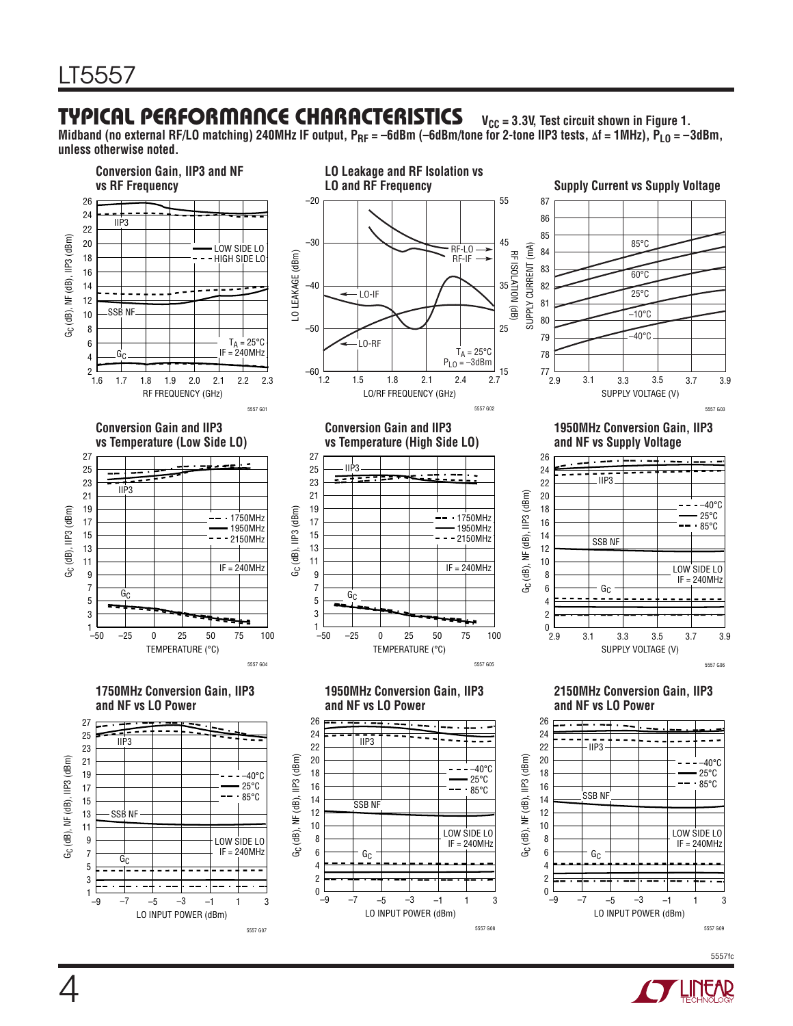#### **TYPICAL PERFORMANCE CHARACTERISTICS** V<sub>CC</sub> = 3.3V, Test circuit shown in Figure 1.

Midband (no external RF/LO matching) 240MHz IF output, P<sub>RF</sub> = –6dBm (–6dBm/tone for 2-tone IIP3 tests, ∆f = 1MHz), P<sub>LO</sub> = –3dBm, **unless otherwise noted.**



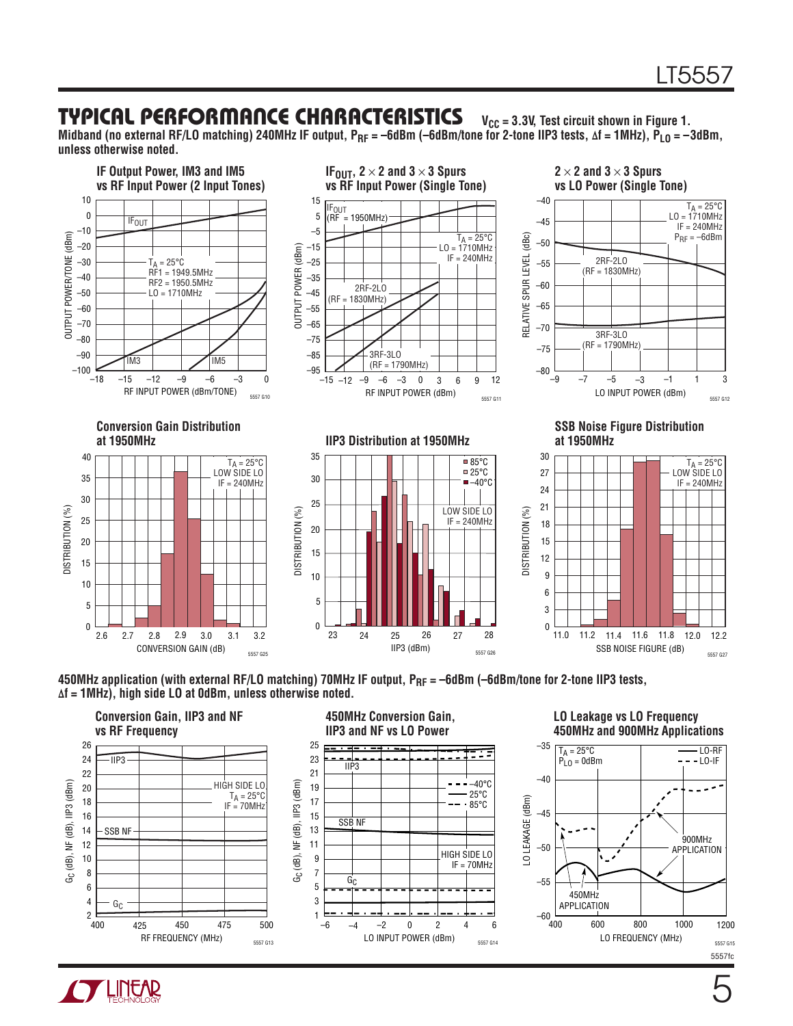#### **TYPICAL PERFORMANCE CHARACTERISTICS** V<sub>CC</sub> = 3.3V, Test circuit shown in Figure 1.

Midband (no external RF/LO matching) 240MHz IF output, P<sub>RF</sub> = –6dBm (–6dBm/tone for 2-tone IIP3 tests, ∆f = 1MHz), P<sub>LO</sub> = –3dBm, **unless otherwise noted.**



450MHz application (with external RF/LO matching) 70MHz IF output, P<sub>RF</sub> = -6dBm (-6dBm/tone for 2-tone IIP3 tests, **∆f = 1MHz), high side LO at 0dBm, unless otherwise noted.**





#### **LO Leakage vs LO Frequency 450MHz and 900MHz Applications**



# **TT LINEAR**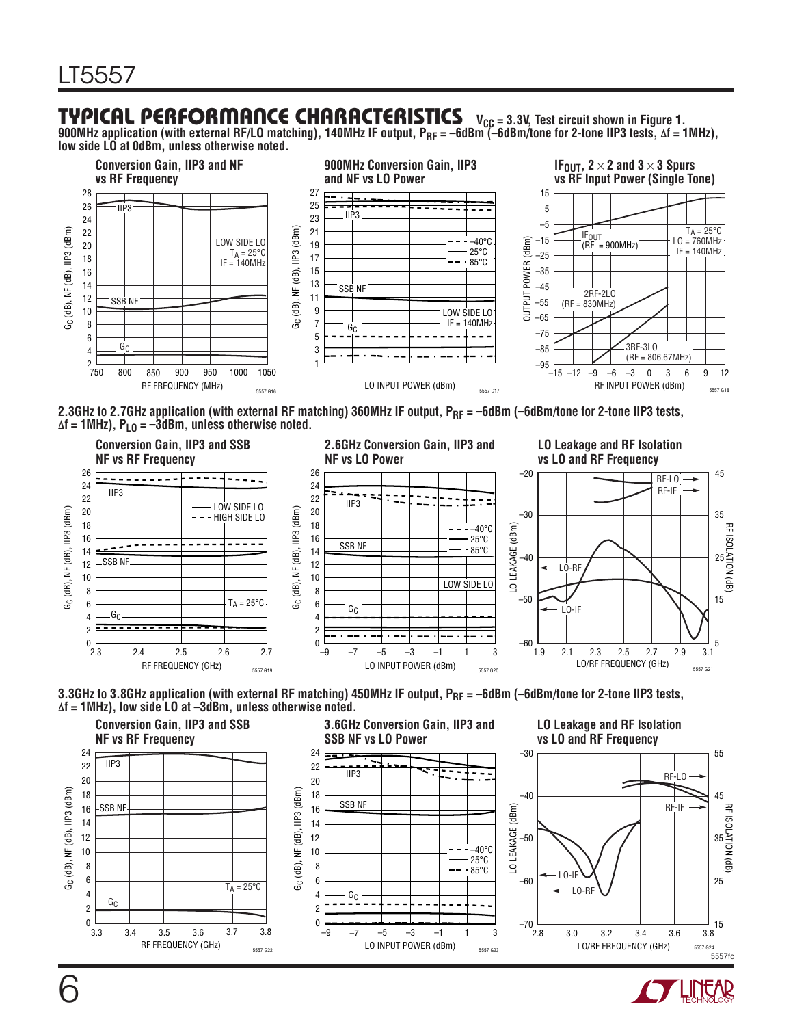#### **TYPICAL PERFORMANCE CHARACTERISTICS** V<sub>CC</sub> = 3.3V, Test circuit shown in Figure 1.

**900MHz application (with external RF/LO matching), 140MHz IF output, PRF = –6dBm (–6dBm/tone for 2-tone IIP3 tests, ∆f = 1MHz), low side LO at 0dBm, unless otherwise noted.** 



2.3GHz to 2.7GHz application (with external RF matching) 360MHz IF output, P<sub>RF</sub> = –6dBm (–6dBm/tone for 2-tone IIP3 tests, **∆f = 1MHz), PLO = –3dBm, unless otherwise noted.**







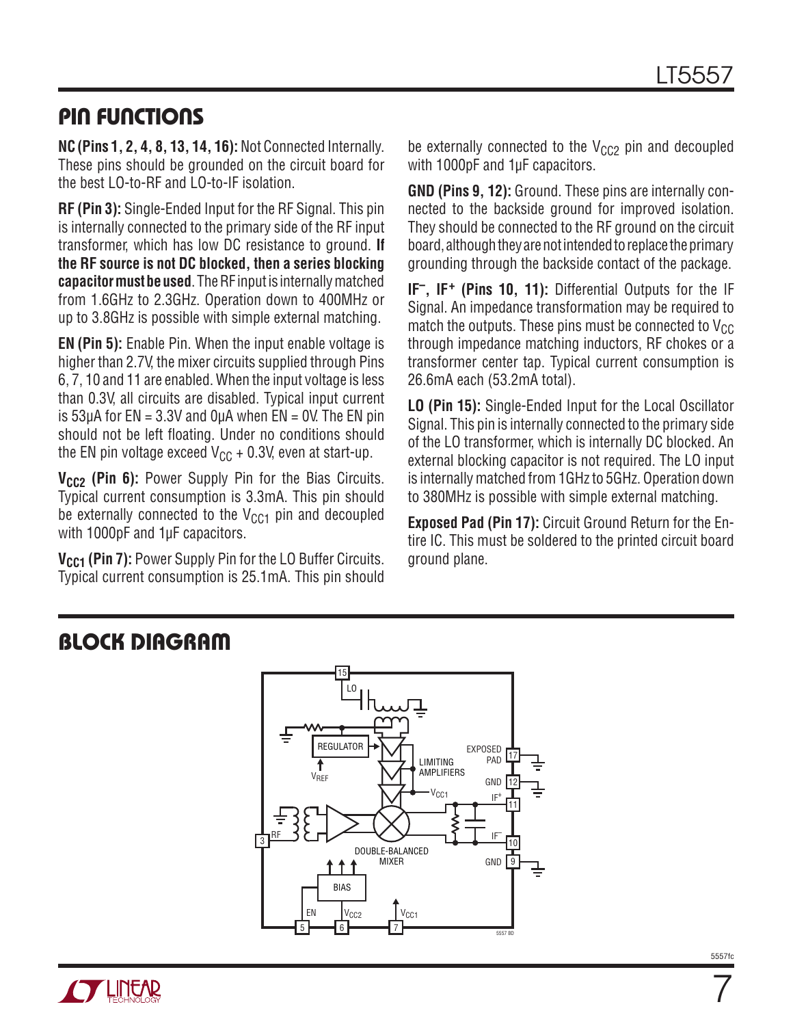#### Pin Functions

**NC(Pins 1, 2, 4, 8, 13, 14, 16):** Not Connected Internally. These pins should be grounded on the circuit board for the best LO-to-RF and LO-to-IF isolation.

**RF (Pin 3):** Single-Ended Input for the RF Signal. This pin is internally connected to the primary side of the RF input transformer, which has low DC resistance to ground. **If the RF source is not DC blocked, then a series blocking capacitor must be used**. The RF input is internally matched from 1.6GHz to 2.3GHz. Operation down to 400MHz or up to 3.8GHz is possible with simple external matching.

**EN (Pin 5):** Enable Pin. When the input enable voltage is higher than 2.7V, the mixer circuits supplied through Pins 6, 7, 10 and 11 are enabled. When the input voltage is less than 0.3V, all circuits are disabled. Typical input current is  $53\mu A$  for EN = 3.3V and  $0\mu A$  when EN = 0V. The EN pin should not be left floating. Under no conditions should the EN pin voltage exceed  $V_{CC}$  + 0.3V, even at start-up.

V<sub>CC2</sub> (Pin 6): Power Supply Pin for the Bias Circuits. Typical current consumption is 3.3mA. This pin should be externally connected to the  $V_{CG1}$  pin and decoupled with 1000pF and 1µF capacitors.

**V<sub>CC1</sub>** (Pin 7): Power Supply Pin for the LO Buffer Circuits. Typical current consumption is 25.1mA. This pin should be externally connected to the  $V_{CC2}$  pin and decoupled with 1000pF and 1µF capacitors.

**GND (Pins 9, 12):** Ground. These pins are internally connected to the backside ground for improved isolation. They should be connected to the RF ground on the circuit board, although they are not intended to replace the primary grounding through the backside contact of the package.

**IF–, IF+ (Pins 10, 11):** Differential Outputs for the IF Signal. An impedance transformation may be required to match the outputs. These pins must be connected to  $V_{CC}$ through impedance matching inductors, RF chokes or a transformer center tap. Typical current consumption is 26.6mA each (53.2mA total).

**LO (Pin 15):** Single-Ended Input for the Local Oscillator Signal. This pin is internally connected to the primary side of the LO transformer, which is internally DC blocked. An external blocking capacitor is not required. The LO input is internally matched from 1GHz to 5GHz. Operation down to 380MHz is possible with simple external matching.

**Exposed Pad (Pin 17):** Circuit Ground Return for the Entire IC. This must be soldered to the printed circuit board ground plane.

#### Block Diagram



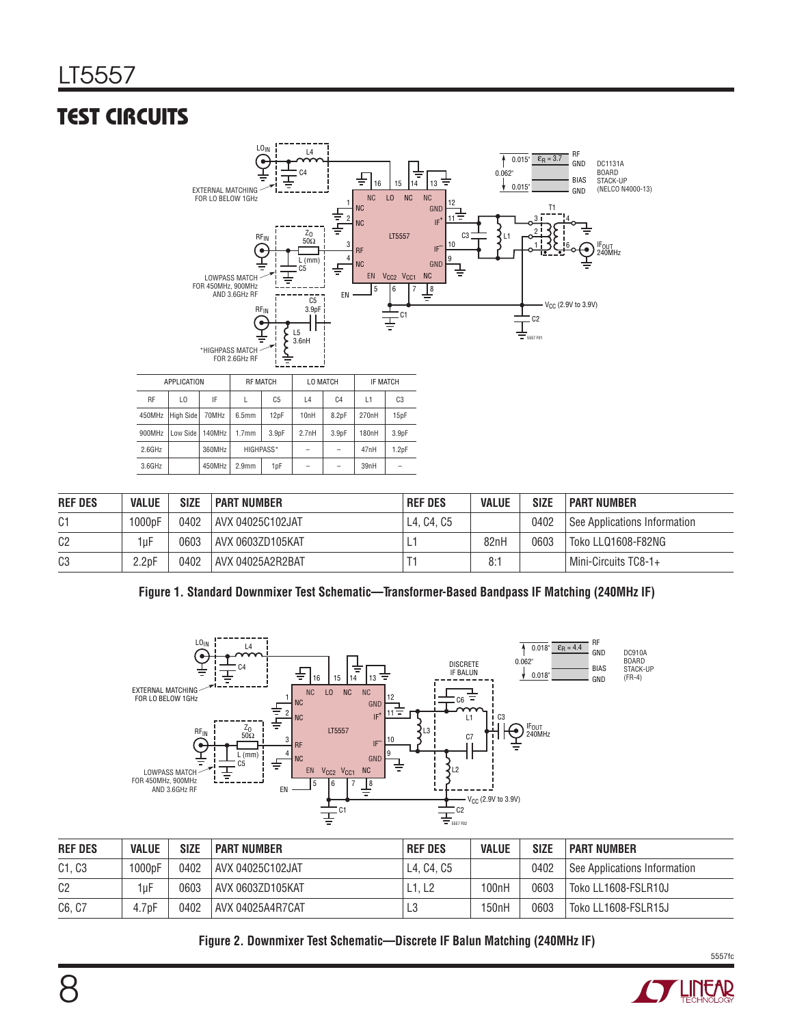## Test Circuits



| <b>REF DES</b> | <b>VALUE</b>       | <b>SIZE</b> | I PART NUMBER      | <b>REF DES</b> | <b>VALUE</b> | <b>SIZE</b> | <b>PART NUMBER</b>           |
|----------------|--------------------|-------------|--------------------|----------------|--------------|-------------|------------------------------|
| C1             | 1000pF             | 0402        | AVX 04025C102JAT   | L4. C4. C5     |              | 0402        | See Applications Information |
| C <sub>2</sub> | 1uF                | 0603        | i AVX 0603ZD105KAT |                | 82nH         | 0603        | Toko LLQ1608-F82NG           |
| C <sub>3</sub> | 2.2 <sub>D</sub> F | 0402        | AVX 04025A2R2BAT   |                | 8:           |             | Mini-Circuits TC8-1+         |

#### **Figure 1. Standard Downmixer Test Schematic—Transformer-Based Bandpass IF Matching (240MHz IF)**



| <b>REF DES</b> | <b>VALUE</b>       | <b>SIZE</b> | I PART NUMBER    | <b>REF DES</b> | <b>VALUE</b>       | <b>SIZE</b> | <b>PART NUMBER</b>           |
|----------------|--------------------|-------------|------------------|----------------|--------------------|-------------|------------------------------|
| C1, C3         | 000 <sub>pF</sub>  | 0402        | AVX 04025C102JAT | L4, C4, C5     |                    | 0402        | See Applications Information |
| C <sub>2</sub> | 1uF                | 0603        | AVX 0603ZD105KAT | L1. L2         | 100nH              | 0603        | Toko LL1608-FSLR10J          |
| C6, C7         | 4.7 <sub>D</sub> F | 0402        | AVX 04025A4R7CAT | L3             | 150 <sub>n</sub> H | 0603        | Toko LL1608-FSLR15J          |

#### **Figure 2. Downmixer Test Schematic—Discrete IF Balun Matching (240MHz IF)**



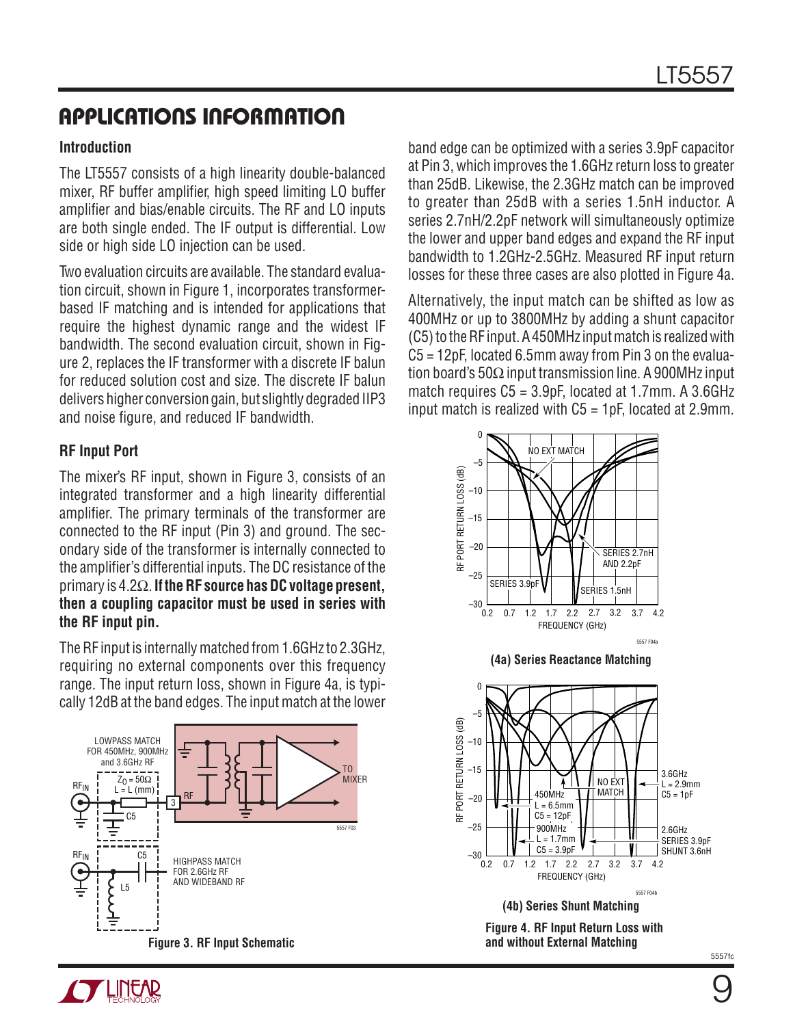#### **Introduction**

The LT5557 consists of a high linearity double-balanced mixer, RF buffer amplifier, high speed limiting LO buffer amplifier and bias/enable circuits. The RF and LO inputs are both single ended. The IF output is differential. Low side or high side LO injection can be used.

Two evaluation circuits are available. The standard evaluation circuit, shown in Figure 1, incorporates transformerbased IF matching and is intended for applications that require the highest dynamic range and the widest IF bandwidth. The second evaluation circuit, shown in Figure 2, replaces the IF transformer with a discrete IF balun for reduced solution cost and size. The discrete IF balun delivers higher conversion gain, but slightly degraded IIP3 and noise figure, and reduced IF bandwidth.

#### **RF Input Port**

The mixer's RF input, shown in Figure 3, consists of an integrated transformer and a high linearity differential amplifier. The primary terminals of the transformer are connected to the RF input (Pin 3) and ground. The secondary side of the transformer is internally connected to the amplifier's differential inputs. The DC resistance of the primary is 4.2Ω. **If the RF source has DC voltage present, then a coupling capacitor must be used in series with the RF input pin.**

The RF input is internally matched from 1.6GHz to 2.3GHz, requiring no external components over this frequency range. The input return loss, shown in Figure 4a, is typically 12dB at the band edges. The input match at the lower



band edge can be optimized with a series 3.9pF capacitor at Pin 3, which improves the 1.6GHz return loss to greater than 25dB. Likewise, the 2.3GHz match can be improved to greater than 25dB with a series 1.5nH inductor. A series 2.7nH/2.2pF network will simultaneously optimize the lower and upper band edges and expand the RF input bandwidth to 1.2GHz-2.5GHz. Measured RF input return losses for these three cases are also plotted in Figure 4a.

Alternatively, the input match can be shifted as low as 400MHz or up to 3800MHz by adding a shunt capacitor (C5) to the RF input. A 450MHz input match is realized with C5 = 12pF, located 6.5mm away from Pin 3 on the evaluation board's 50Ω input transmission line. A 900MHz input match requires C5 = 3.9pF, located at 1.7mm. A 3.6GHz input match is realized with  $C_5 = 1pF$ , located at 2.9mm.



**Y LINUAR**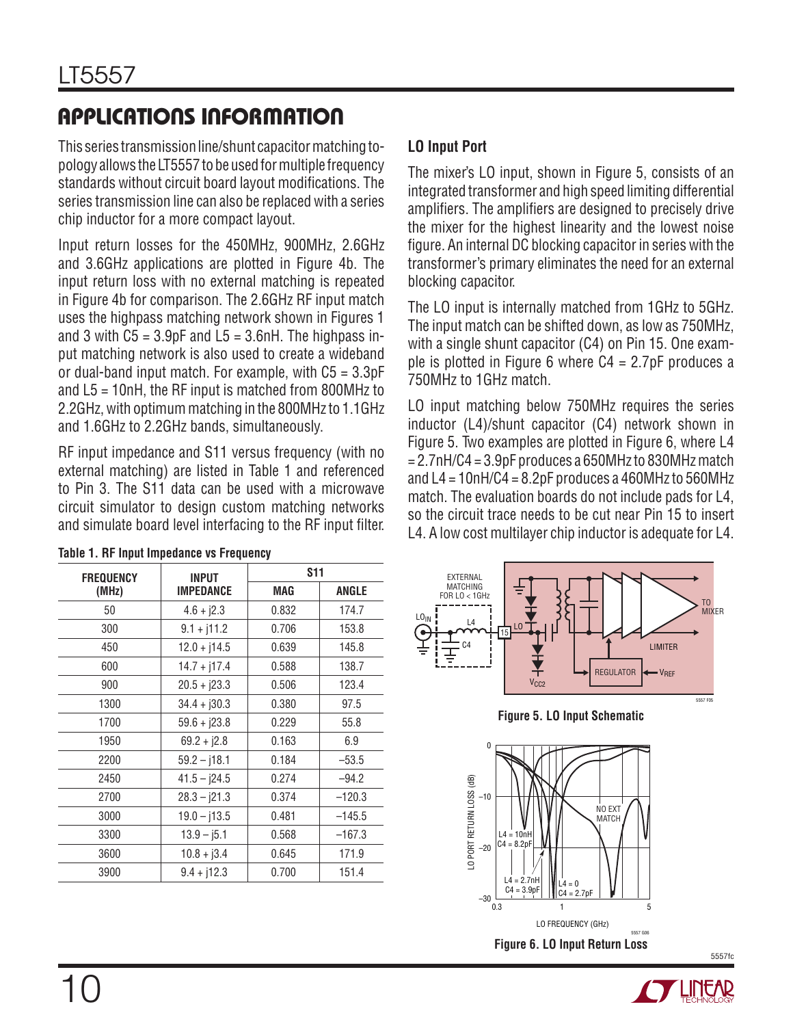This series transmission line/shunt capacitor matching topology allows the LT5557 to be used for multiple frequency standards without circuit board layout modifications. The series transmission line can also be replaced with a series chip inductor for a more compact layout.

Input return losses for the 450MHz, 900MHz, 2.6GHz and 3.6GHz applications are plotted in Figure 4b. The input return loss with no external matching is repeated in Figure 4b for comparison. The 2.6GHz RF input match uses the highpass matching network shown in Figures 1 and 3 with  $C5 = 3.9pF$  and  $L5 = 3.6nH$ . The highpass input matching network is also used to create a wideband or dual-band input match. For example, with  $C5 = 3.3pF$ and L5 = 10nH, the RF input is matched from 800MHz to 2.2GHz, with optimum matching in the 800MHz to 1.1GHz and 1.6GHz to 2.2GHz bands, simultaneously.

RF input impedance and S11 versus frequency (with no external matching) are listed in Table 1 and referenced to Pin 3. The S11 data can be used with a microwave circuit simulator to design custom matching networks and simulate board level interfacing to the RF input filter.

#### **LO Input Port**

The mixer's LO input, shown in Figure 5, consists of an integrated transformer and high speed limiting differential amplifiers. The amplifiers are designed to precisely drive the mixer for the highest linearity and the lowest noise figure. An internal DC blocking capacitor in series with the transformer's primary eliminates the need for an external blocking capacitor.

The LO input is internally matched from 1GHz to 5GHz. The input match can be shifted down, as low as 750MHz, with a single shunt capacitor (C4) on Pin 15. One example is plotted in Figure 6 where  $C4 = 2.7pF$  produces a 750MHz to 1GHz match.

LO input matching below 750MHz requires the series inductor (L4)/shunt capacitor (C4) network shown in Figure 5. Two examples are plotted in Figure 6, where L4 = 2.7nH/C4 = 3.9pF produces a 650MHz to 830MHz match and  $L4 = 10nH/C4 = 8.2pF$  produces a 460MHz to 560MHz match. The evaluation boards do not include pads for L4, so the circuit trace needs to be cut near Pin 15 to insert L4. A low cost multilayer chip inductor is adequate for L4.





**Figure 5. LO Input Schematic**



5557fc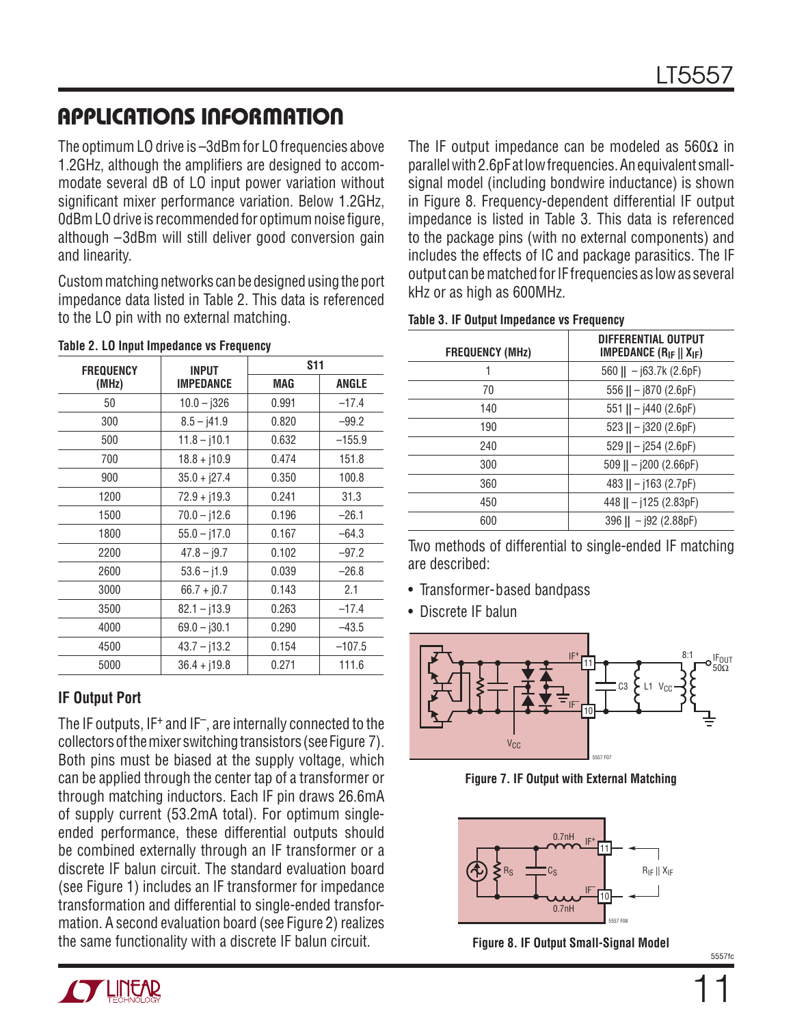The optimum LO drive is –3dBm for LO frequencies above 1.2GHz, although the amplifiers are designed to accommodate several dB of LO input power variation without significant mixer performance variation. Below 1.2GHz, 0dBm LO drive is recommended for optimum noise figure, although –3dBm will still deliver good conversion gain and linearity.

Custom matching networks can be designed using the port impedance data listed in Table 2. This data is referenced to the LO pin with no external matching.

| <b>FREQUENCY</b> | <b>INPUT</b>     | <b>S11</b> |          |  |
|------------------|------------------|------------|----------|--|
| (MHz)            | <b>IMPEDANCE</b> | MAG        | ANGLE    |  |
| 50               | $10.0 - j326$    | 0.991      | $-17.4$  |  |
| 300              | $8.5 - j41.9$    | 0.820      | $-99.2$  |  |
| 500              | $11.8 - j10.1$   | 0.632      | $-155.9$ |  |
| 700              | $18.8 + j10.9$   | 0.474      | 151.8    |  |
| 900              | $35.0 + j27.4$   | 0.350      | 100.8    |  |
| 1200             | 72.9 + j19.3     | 0.241      | 31.3     |  |
| 1500             | $70.0 - 112.6$   | 0.196      | $-26.1$  |  |
| 1800             | $55.0 - j17.0$   | 0.167      | $-64.3$  |  |
| 2200             | $47.8 - j9.7$    | 0.102      | $-97.2$  |  |
| 2600             | $53.6 - j1.9$    | 0.039      | $-26.8$  |  |
| 3000             | $66.7 + j0.7$    | 0.143      | 2.1      |  |
| 3500             | $82.1 - j13.9$   | 0.263      | $-17.4$  |  |
| 4000             | $69.0 - j30.1$   | 0.290      | $-43.5$  |  |
| 4500             | $43.7 - 13.2$    | 0.154      | $-107.5$ |  |
| 5000             | $36.4 + j19.8$   | 0.271      | 111.6    |  |

|  |  |  | Table 2. LO Input Impedance vs Frequency |  |  |
|--|--|--|------------------------------------------|--|--|
|--|--|--|------------------------------------------|--|--|

#### **IF Output Port**

The IF outputs, IF<sup>+</sup> and IF<sup>-</sup>, are internally connected to the collectors of the mixer switching transistors (see Figure 7). Both pins must be biased at the supply voltage, which can be applied through the center tap of a transformer or through matching inductors. Each IF pin draws 26.6mA of supply current (53.2mA total). For optimum singleended performance, these differential outputs should be combined externally through an IF transformer or a discrete IF balun circuit. The standard evaluation board (see Figure 1) includes an IF transformer for impedance transformation and differential to single-ended transformation. A second evaluation board (see Figure 2) realizes the same functionality with a discrete IF balun circuit.

The IF output impedance can be modeled as  $560\Omega$  in parallel with 2.6pF at low frequencies. An equivalent smallsignal model (including bondwire inductance) is shown in Figure 8. Frequency-dependent differential IF output impedance is listed in Table 3. This data is referenced to the package pins (with no external components) and includes the effects of IC and package parasitics. The IF output can be matched for IF frequencies as low as several kHz or as high as 600MHz.

| Table 3. IF Output Impedance vs Frequency |  |  |  |  |  |  |
|-------------------------------------------|--|--|--|--|--|--|
|                                           |  |  |  |  |  |  |

| <b>FREQUENCY (MHz)</b> | DIFFERENTIAL OUTPUT<br><b>IMPEDANCE (R<sub>IF</sub></b> $   X_{IF}$ ) |
|------------------------|-----------------------------------------------------------------------|
|                        | $560$    - j63.7k (2.6pF)                                             |
| 70                     | 556 $   - j870 (2.6pF)$                                               |
| 140                    | 551    $-$ j440 (2.6pF)                                               |
| 190                    | 523 $   - j320 (2.6pF)$                                               |
| 240                    | 529 $   - j254 (2.6pF)$                                               |
| 300                    | 509    $-$ j200 (2.66pF)                                              |
| 360                    | 483 $   - j163 (2.7pF)$                                               |
| 450                    | $448$    - j125 (2.83pF)                                              |
| 600                    | $396$    - j92 (2.88pF)                                               |

Two methods of differential to single-ended IF matching are described:

- Transformer-based bandpass
- Discrete IF balun



**Figure 7. IF Output with External Matching**



**Figure 8. IF Output Small-Signal Model**

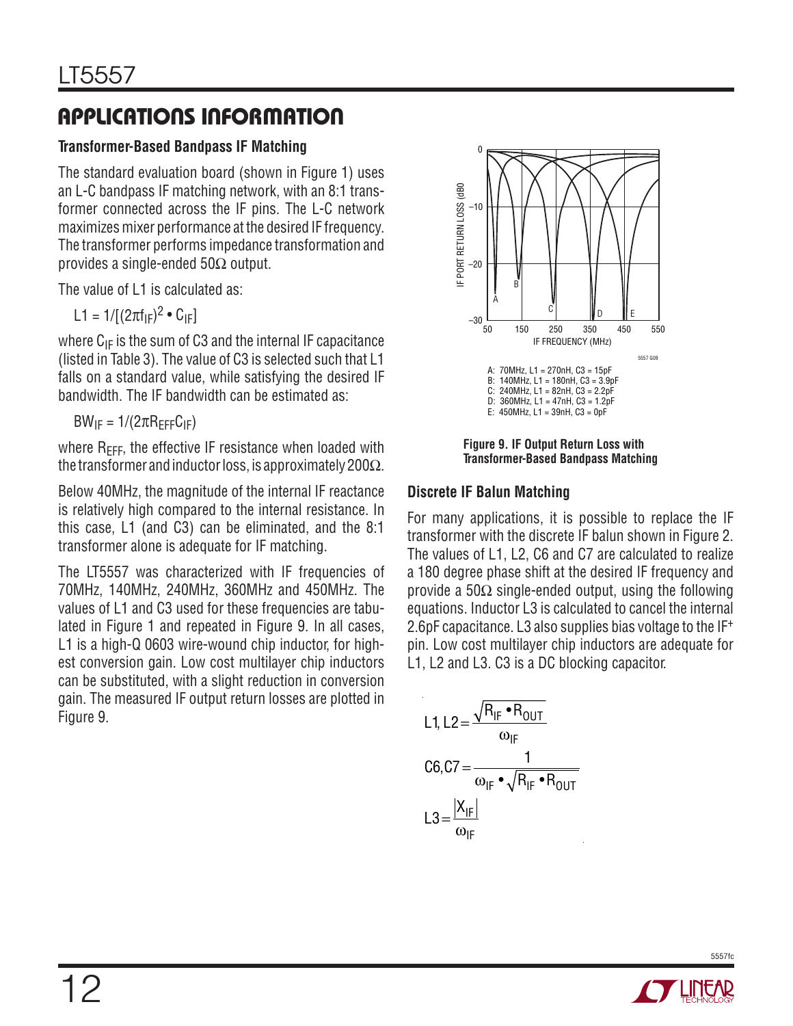#### **Transformer-Based Bandpass IF Matching**

The standard evaluation board (shown in Figure 1) uses an L-C bandpass IF matching network, with an 8:1 transformer connected across the IF pins. The L-C network maximizes mixer performance at the desired IF frequency. The transformer performs impedance transformation and provides a single-ended  $50\Omega$  output.

The value of L1 is calculated as:

L1 = 1/[(2πf<sub>IF</sub>)<sup>2</sup> • C<sub>IF</sub>]

where  $C_{IF}$  is the sum of C3 and the internal IF capacitance (listed in Table 3). The value of C3 is selected such that L1 falls on a standard value, while satisfying the desired IF bandwidth. The IF bandwidth can be estimated as:

 $BW_{IF} = 1/(2\pi R_{FFF}C_{IF})$ 

where  $R_{EFF}$ , the effective IF resistance when loaded with the transformer and inductor loss, is approximately 200 $\Omega$ .

Below 40MHz, the magnitude of the internal IF reactance is relatively high compared to the internal resistance. In this case, L1 (and C3) can be eliminated, and the 8:1 transformer alone is adequate for IF matching.

The LT5557 was characterized with IF frequencies of 70MHz, 140MHz, 240MHz, 360MHz and 450MHz. The values of L1 and C3 used for these frequencies are tabulated in Figure 1 and repeated in Figure 9. In all cases, L1 is a high-Q 0603 wire-wound chip inductor, for highest conversion gain. Low cost multilayer chip inductors can be substituted, with a slight reduction in conversion gain. The measured IF output return losses are plotted in Figure 9.



**Figure 9. IF Output Return Loss with Transformer-Based Bandpass Matching**

#### **Discrete IF Balun Matching**

For many applications, it is possible to replace the IF transformer with the discrete IF balun shown in Figure 2. The values of L1, L2, C6 and C7 are calculated to realize a 180 degree phase shift at the desired IF frequency and provide a  $50\Omega$  single-ended output, using the following equations. Inductor L3 is calculated to cancel the internal 2.6pF capacitance. L3 also supplies bias voltage to the IF<sup>+</sup> pin. Low cost multilayer chip inductors are adequate for L1, L2 and L3. C3 is a DC blocking capacitor.

L1, L2=
$$
\frac{\sqrt{R_{IF} \cdot R_{OUT}}}{\omega_{IF}}
$$

$$
C6, C7 = \frac{1}{\omega_{IF} \cdot \sqrt{R_{IF} \cdot R_{OUT}}}
$$

$$
L3 = \frac{|X_{IF}|}{\omega_{IF}}
$$

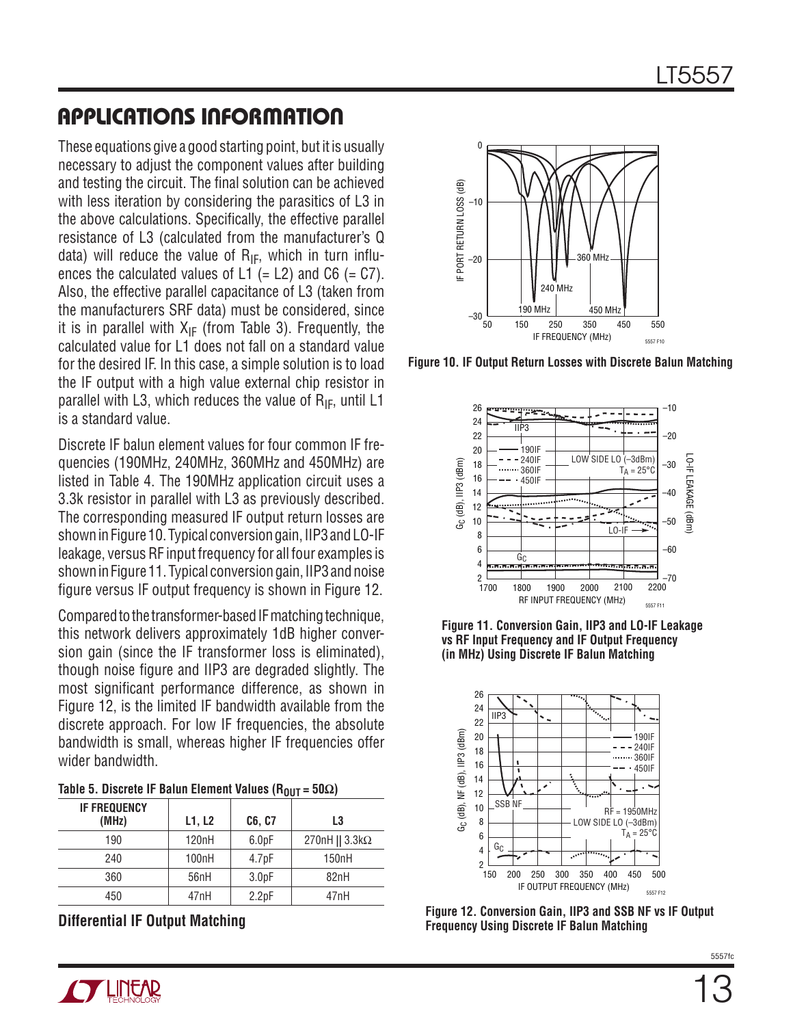These equations give a good starting point, but it is usually necessary to adjust the component values after building and testing the circuit. The final solution can be achieved with less iteration by considering the parasitics of L3 in the above calculations. Specifically, the effective parallel resistance of L3 (calculated from the manufacturer's Q data) will reduce the value of  $R_{IF}$ , which in turn influences the calculated values of  $L1$  (= L2) and C6 (= C7). Also, the effective parallel capacitance of L3 (taken from the manufacturers SRF data) must be considered, since it is in parallel with  $X_{IF}$  (from Table 3). Frequently, the calculated value for L1 does not fall on a standard value for the desired IF. In this case, a simple solution is to load the IF output with a high value external chip resistor in parallel with L3, which reduces the value of  $R_{IF}$ , until L1 is a standard value.

Discrete IF balun element values for four common IF frequencies (190MHz, 240MHz, 360MHz and 450MHz) are listed in Table 4. The 190MHz application circuit uses a 3.3k resistor in parallel with L3 as previously described. The corresponding measured IF output return losses are shown in Figure 10. Typical conversion gain, IIP3 and LO-IF leakage, versus RF input frequency for all four examples is shown in Figure 11. Typical conversion gain, IIP3 and noise figure versus IF output frequency is shown in Figure 12.

Compared to the transformer-based IF matching technique, this network delivers approximately 1dB higher conversion gain (since the IF transformer loss is eliminated), though noise figure and IIP3 are degraded slightly. The most significant performance difference, as shown in Figure 12, is the limited IF bandwidth available from the discrete approach. For low IF frequencies, the absolute bandwidth is small, whereas higher IF frequencies offer wider bandwidth.

|  | Table 5. Discrete IF Balun Element Values (R <sub>OUT</sub> = 50 $\Omega$ ) |  |  |  |  |  |  |
|--|-----------------------------------------------------------------------------|--|--|--|--|--|--|
|--|-----------------------------------------------------------------------------|--|--|--|--|--|--|

| <b>IF FREQUENCY</b><br>(MHz) | L1, L2 | C6, C7            | L3                        |
|------------------------------|--------|-------------------|---------------------------|
| 190                          | 120nH  | 6.0 <sub>pF</sub> | 270nH    $3.3$ k $\Omega$ |
| 240                          | 100nH  | 4.7 <sub>pF</sub> | 150 <sub>n</sub> H        |
| 360                          | 56nH   | 3.0 <sub>pF</sub> | 82nH                      |
| 450                          | 47nH   | 2.2pF             | 47nH                      |

**Differential IF Output Matching**



**Figure 10. IF Output Return Losses with Discrete Balun Matching**



**Figure 11. Conversion Gain, IIP3 and LO-IF Leakage vs RF Input Frequency and IF Output Frequency (in MHz) Using Discrete IF Balun Matching**



**Figure 12. Conversion Gain, IIP3 and SSB NF vs IF Output Frequency Using Discrete IF Balun Matching**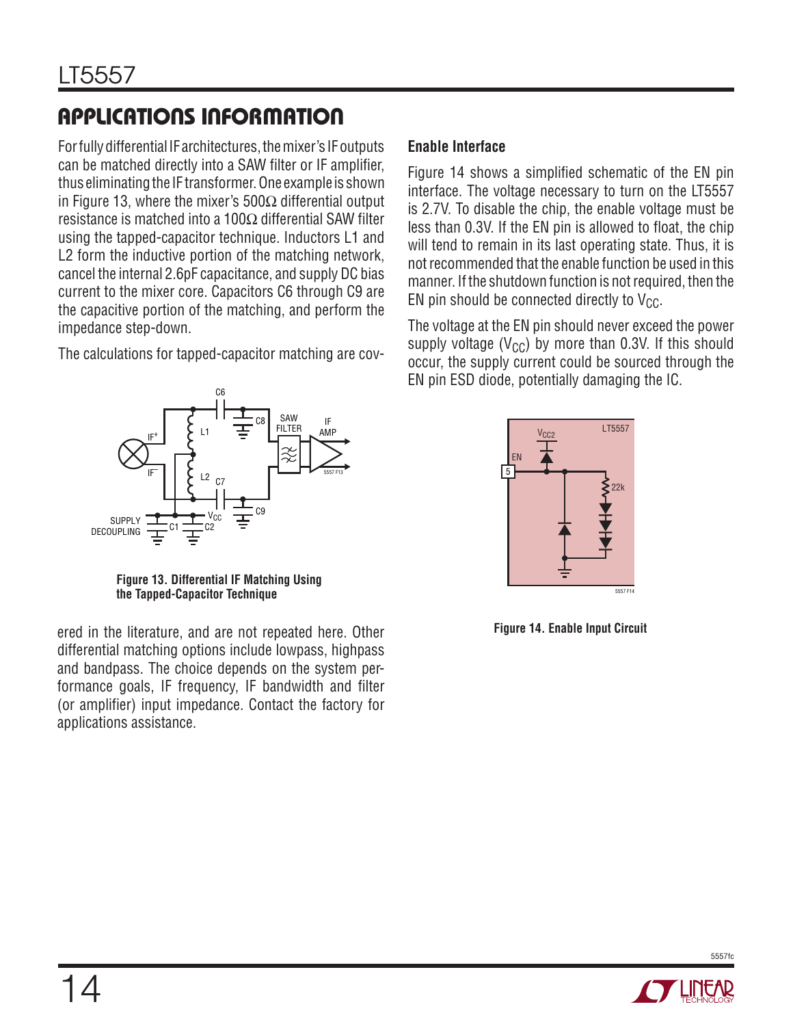For fully differential IF architectures, the mixer's IF outputs can be matched directly into a SAW filter or IF amplifier, thus eliminating the IF transformer. One example is shown in Figure 13, where the mixer's 500 $\Omega$  differential output resistance is matched into a 100Ω differential SAW filter using the tapped-capacitor technique. Inductors L1 and L2 form the inductive portion of the matching network, cancel the internal 2.6pF capacitance, and supply DC bias current to the mixer core. Capacitors C6 through C9 are the capacitive portion of the matching, and perform the impedance step-down.

The calculations for tapped-capacitor matching are cov-

#### IF AMP SAW **FILTER** C1  $\equiv$  C2 IF+ IF– L2 C<sub>6</sub> C7 C8 C9 SUPPLY DECOUPLING 'cc 5557 F13

**Figure 13. Differential IF Matching Using the Tapped-Capacitor Technique**

ered in the literature, and are not repeated here. Other differential matching options include lowpass, highpass and bandpass. The choice depends on the system performance goals, IF frequency, IF bandwidth and filter (or amplifier) input impedance. Contact the factory for applications assistance.

#### **Enable Interface**

Figure 14 shows a simplified schematic of the EN pin interface. The voltage necessary to turn on the LT5557 is 2.7V. To disable the chip, the enable voltage must be less than 0.3V. If the EN pin is allowed to float, the chip will tend to remain in its last operating state. Thus, it is not recommended that the enable function be used in this manner. If the shutdown function is not required, then the EN pin should be connected directly to  $V_{CC}$ .

The voltage at the EN pin should never exceed the power supply voltage ( $V_{CC}$ ) by more than 0.3V. If this should occur, the supply current could be sourced through the EN pin ESD diode, potentially damaging the IC.



**Figure 14. Enable Input Circuit**



5557fc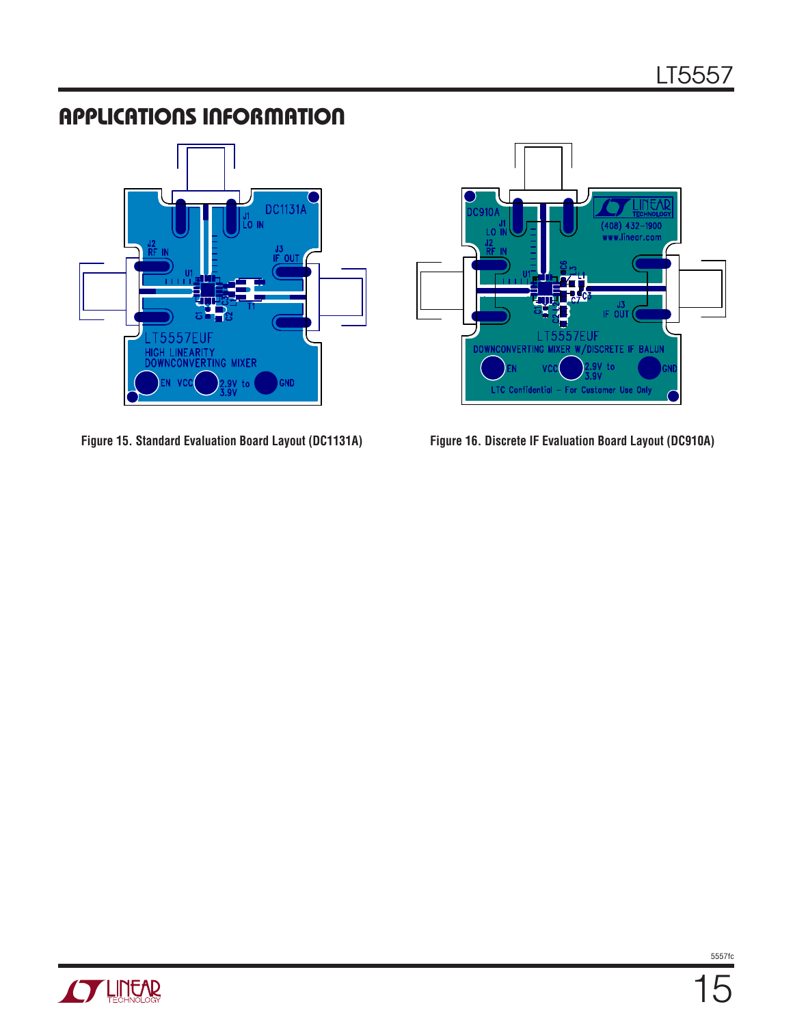







5557fc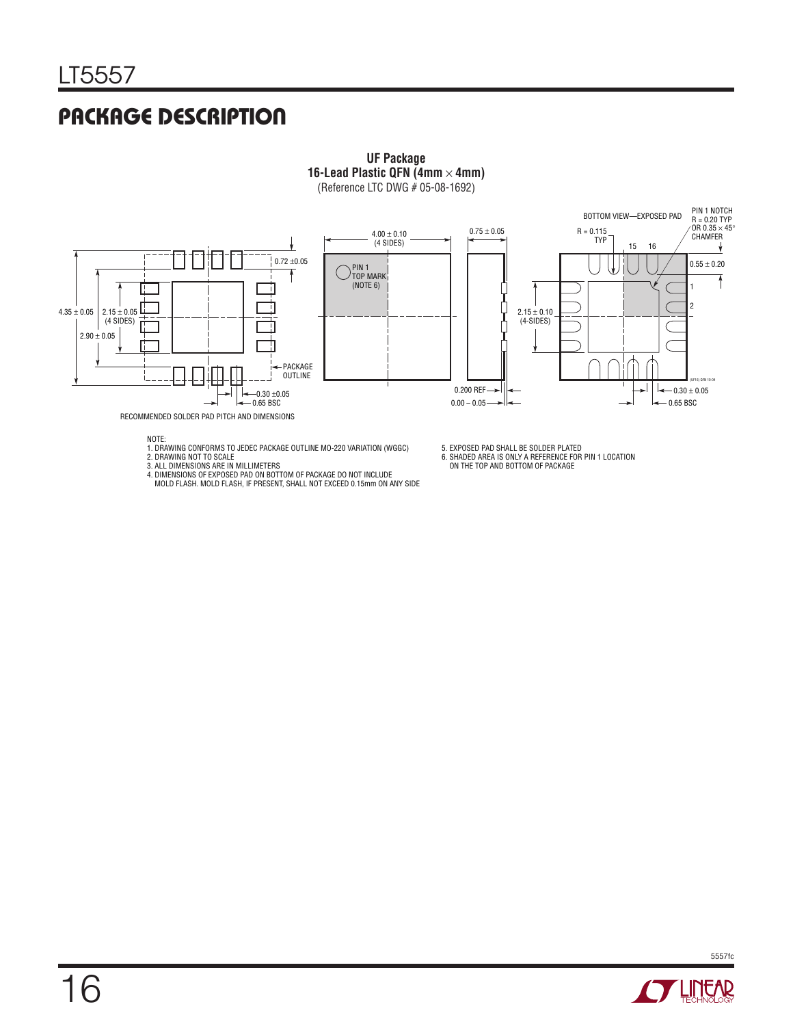### Package Description



NOTE:

1. DRAWING CONFORMS TO JEDEC PACKAGE OUTLINE MO-220 VARIATION (WGGC) 2. DRAWING NOT TO SCALE

3. ALL DIMENSIONS ARE IN MILLIMETERS

4. DIMENSIONS OF EXPOSED PAD ON BOTTOM OF PACKAGE DO NOT INCLUDE MOLD FLASH. MOLD FLASH, IF PRESENT, SHALL NOT EXCEED 0.15mm ON ANY SIDE

5. EXPOSED PAD SHALL BE SOLDER PLATED 6. SHADED AREA IS ONLY A REFERENCE FOR PIN 1 LOCATION ON THE TOP AND BOTTOM OF PACKAGE





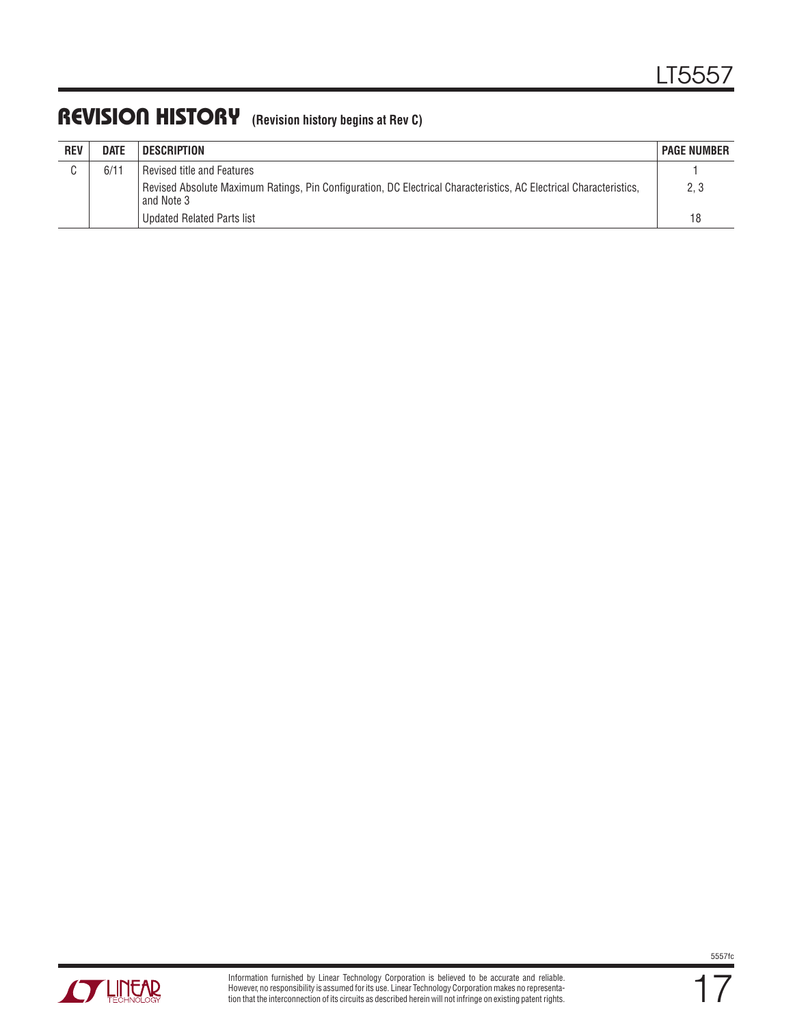#### REVISION HISTORY (Revision history begins at Rev C)

| <b>REV</b> | <b>DATE</b> | <b>DESCRIPTION</b>                                                                                                               | <b>PAGE NUMBER</b> |
|------------|-------------|----------------------------------------------------------------------------------------------------------------------------------|--------------------|
|            | 6/11        | Revised title and Features                                                                                                       |                    |
|            |             | Revised Absolute Maximum Ratings, Pin Configuration, DC Electrical Characteristics, AC Electrical Characteristics,<br>and Note 3 | 2.3                |
|            |             | <b>Updated Related Parts list</b>                                                                                                | 18                 |